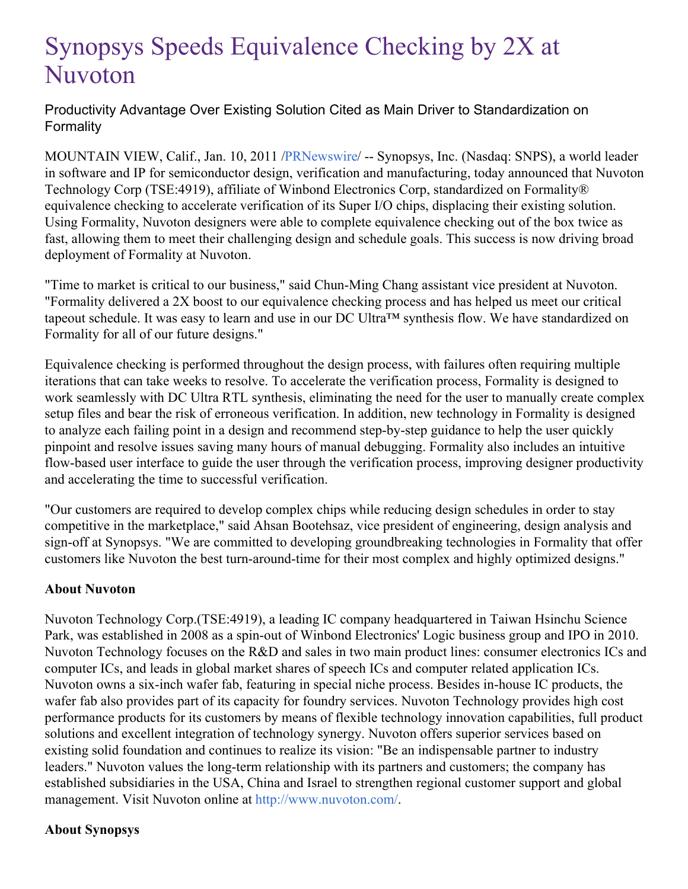## Synopsys Speeds Equivalence Checking by 2X at Nuvoton

Productivity Advantage Over Existing Solution Cited as Main Driver to Standardization on Formality

MOUNTAIN VIEW, Calif., Jan. 10, 2011 [/PRNewswire](http://www.prnewswire.com/)/ -- Synopsys, Inc. (Nasdaq: SNPS), a world leader in software and IP for semiconductor design, verification and manufacturing, today announced that Nuvoton Technology Corp (TSE:4919), affiliate of Winbond Electronics Corp, standardized on Formality® equivalence checking to accelerate verification of its Super I/O chips, displacing their existing solution. Using Formality, Nuvoton designers were able to complete equivalence checking out of the box twice as fast, allowing them to meet their challenging design and schedule goals. This success is now driving broad deployment of Formality at Nuvoton.

"Time to market is critical to our business," said Chun-Ming Chang assistant vice president at Nuvoton. "Formality delivered a 2X boost to our equivalence checking process and has helped us meet our critical tapeout schedule. It was easy to learn and use in our DC Ultra™ synthesis flow. We have standardized on Formality for all of our future designs."

Equivalence checking is performed throughout the design process, with failures often requiring multiple iterations that can take weeks to resolve. To accelerate the verification process, Formality is designed to work seamlessly with DC Ultra RTL synthesis, eliminating the need for the user to manually create complex setup files and bear the risk of erroneous verification. In addition, new technology in Formality is designed to analyze each failing point in a design and recommend step-by-step guidance to help the user quickly pinpoint and resolve issues saving many hours of manual debugging. Formality also includes an intuitive flow-based user interface to guide the user through the verification process, improving designer productivity and accelerating the time to successful verification.

"Our customers are required to develop complex chips while reducing design schedules in order to stay competitive in the marketplace," said Ahsan Bootehsaz, vice president of engineering, design analysis and sign-off at Synopsys. "We are committed to developing groundbreaking technologies in Formality that offer customers like Nuvoton the best turn-around-time for their most complex and highly optimized designs."

## **About Nuvoton**

Nuvoton Technology Corp.(TSE:4919), a leading IC company headquartered in Taiwan Hsinchu Science Park, was established in 2008 as a spin-out of Winbond Electronics' Logic business group and IPO in 2010. Nuvoton Technology focuses on the R&D and sales in two main product lines: consumer electronics ICs and computer ICs, and leads in global market shares of speech ICs and computer related application ICs. Nuvoton owns a six-inch wafer fab, featuring in special niche process. Besides in-house IC products, the wafer fab also provides part of its capacity for foundry services. Nuvoton Technology provides high cost performance products for its customers by means of flexible technology innovation capabilities, full product solutions and excellent integration of technology synergy. Nuvoton offers superior services based on existing solid foundation and continues to realize its vision: "Be an indispensable partner to industry leaders." Nuvoton values the long-term relationship with its partners and customers; the company has established subsidiaries in the USA, China and Israel to strengthen regional customer support and global management. Visit Nuvoton online at <http://www.nuvoton.com/>.

## **About Synopsys**